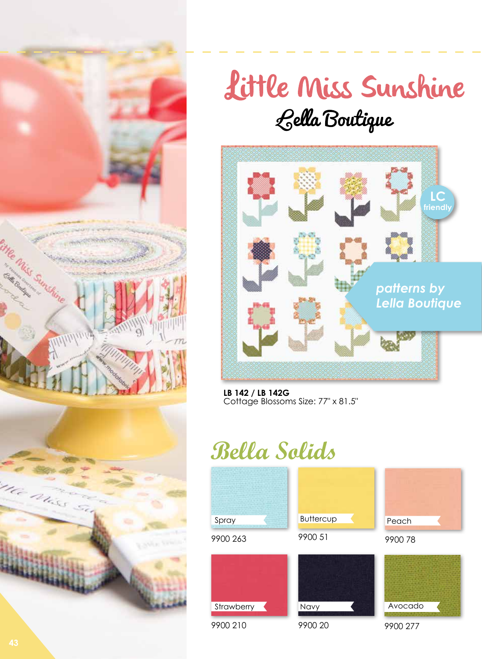



## Little Miss Sunshine Lella Boutique



**LB 142 / LB 142G**  Cottage Blossoms Size: 77" x 81.5"

## **Bella Solids**

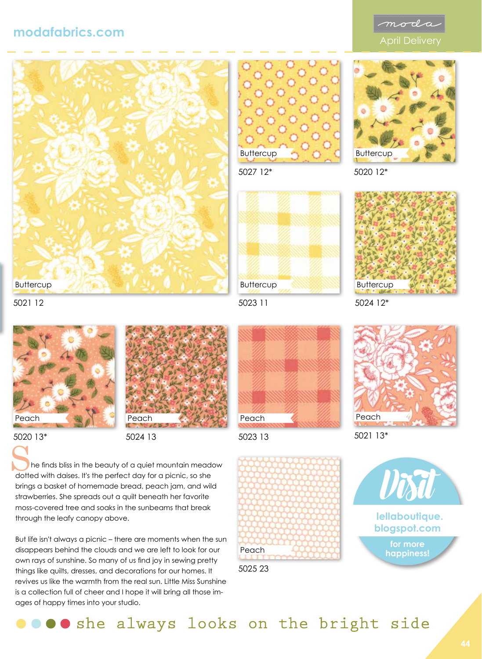## **modafabrics.com**







5027 12\*



5020 12\*



5021 12



5020 13\*



5024 13

 he finds bliss in the beauty of a quiet mountain meadow The finds bliss in the beauty of a quiet mountain meader dotted with daises. It's the perfect day for a picnic, so she brings a basket of homemade bread, peach jam, and wild strawberries. She spreads out a quilt beneath her favorite moss-covered tree and soaks in the sunbeams that break through the leafy canopy above.

But life isn't always a picnic – there are moments when the sun disappears behind the clouds and we are left to look for our own rays of sunshine. So many of us find joy in sewing pretty things like quilts, dresses, and decorations for our homes. It revives us like the warmth from the real sun. Little Miss Sunshine is a collection full of cheer and I hope it will bring all those images of happy times into your studio.

5023 11

**Buttercup** 





5025 23

Peach



5021 13\*



O oshe always looks on the bright side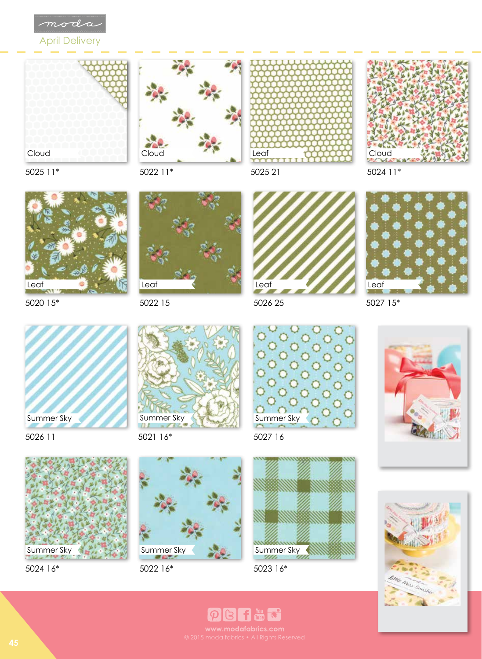

April Delivery









5025 11\*



5020 15\*



5026 11



5024 16\*



5022 15



5021 16\*



5022 16\*



5026 25



5027 16



5023 16\*



5027 15\*





**PBFHC**